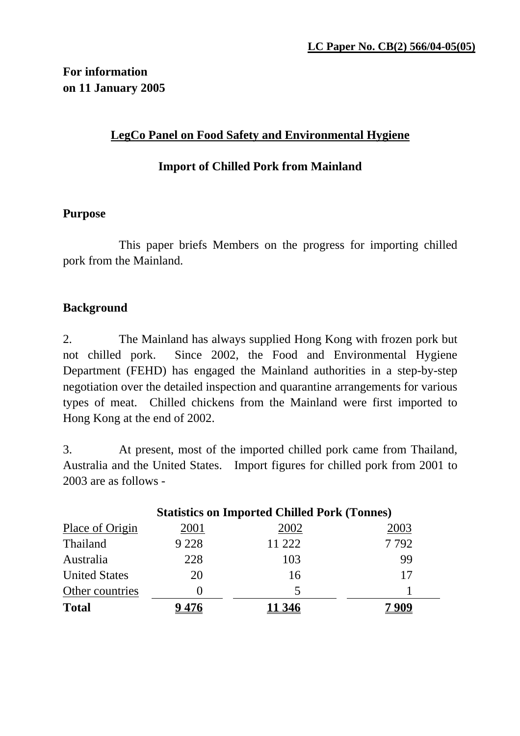## **For information on 11 January 2005**

### **LegCo Panel on Food Safety and Environmental Hygiene**

### **Import of Chilled Pork from Mainland**

### **Purpose**

 This paper briefs Members on the progress for importing chilled pork from the Mainland.

### **Background**

2. The Mainland has always supplied Hong Kong with frozen pork but not chilled pork. Since 2002, the Food and Environmental Hygiene Department (FEHD) has engaged the Mainland authorities in a step-by-step negotiation over the detailed inspection and quarantine arrangements for various types of meat. Chilled chickens from the Mainland were first imported to Hong Kong at the end of 2002.

3. At present, most of the imported chilled pork came from Thailand, Australia and the United States. Import figures for chilled pork from 2001 to 2003 are as follows -

| <b>Statistics on Imported Chilled Pork (Tonnes)</b> |         |        |      |
|-----------------------------------------------------|---------|--------|------|
| Place of Origin                                     | 2001    | 2002   | 2003 |
| Thailand                                            | 9 2 2 8 | 11 222 | 7792 |
| Australia                                           | 228     | 103    | 99   |
| <b>United States</b>                                | 20      | 16     | 17   |
| Other countries                                     |         | 5      |      |
| <b>Total</b>                                        |         |        |      |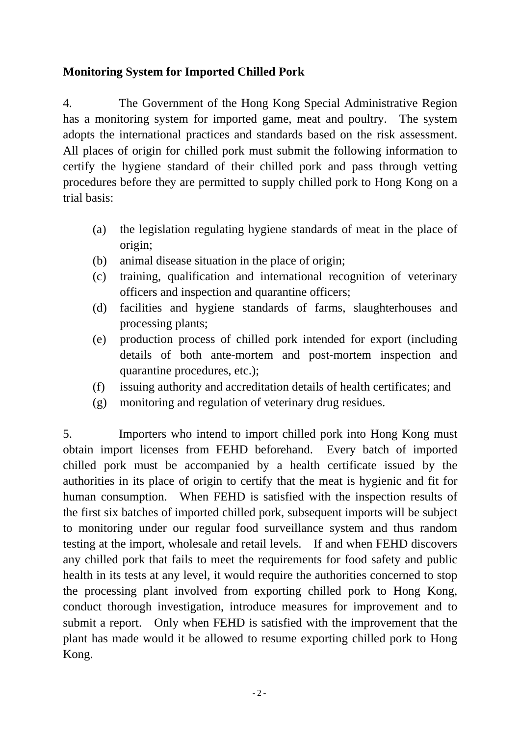## **Monitoring System for Imported Chilled Pork**

4. The Government of the Hong Kong Special Administrative Region has a monitoring system for imported game, meat and poultry. The system adopts the international practices and standards based on the risk assessment. All places of origin for chilled pork must submit the following information to certify the hygiene standard of their chilled pork and pass through vetting procedures before they are permitted to supply chilled pork to Hong Kong on a trial basis:

- (a) the legislation regulating hygiene standards of meat in the place of origin;
- (b) animal disease situation in the place of origin;
- (c) training, qualification and international recognition of veterinary officers and inspection and quarantine officers;
- (d) facilities and hygiene standards of farms, slaughterhouses and processing plants;
- (e) production process of chilled pork intended for export (including details of both ante-mortem and post-mortem inspection and quarantine procedures, etc.);
- (f) issuing authority and accreditation details of health certificates; and
- (g) monitoring and regulation of veterinary drug residues.

5. Importers who intend to import chilled pork into Hong Kong must obtain import licenses from FEHD beforehand. Every batch of imported chilled pork must be accompanied by a health certificate issued by the authorities in its place of origin to certify that the meat is hygienic and fit for human consumption. When FEHD is satisfied with the inspection results of the first six batches of imported chilled pork, subsequent imports will be subject to monitoring under our regular food surveillance system and thus random testing at the import, wholesale and retail levels. If and when FEHD discovers any chilled pork that fails to meet the requirements for food safety and public health in its tests at any level, it would require the authorities concerned to stop the processing plant involved from exporting chilled pork to Hong Kong, conduct thorough investigation, introduce measures for improvement and to submit a report. Only when FEHD is satisfied with the improvement that the plant has made would it be allowed to resume exporting chilled pork to Hong Kong.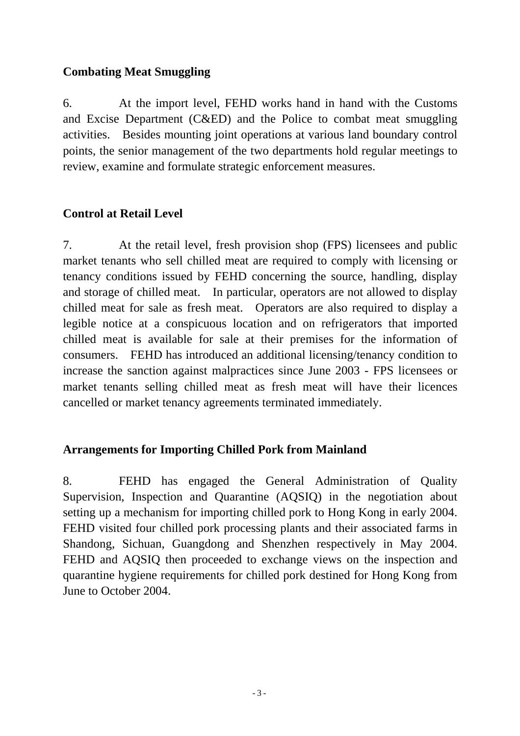### **Combating Meat Smuggling**

6. At the import level, FEHD works hand in hand with the Customs and Excise Department (C&ED) and the Police to combat meat smuggling activities. Besides mounting joint operations at various land boundary control points, the senior management of the two departments hold regular meetings to review, examine and formulate strategic enforcement measures.

### **Control at Retail Level**

7. At the retail level, fresh provision shop (FPS) licensees and public market tenants who sell chilled meat are required to comply with licensing or tenancy conditions issued by FEHD concerning the source, handling, display and storage of chilled meat. In particular, operators are not allowed to display chilled meat for sale as fresh meat. Operators are also required to display a legible notice at a conspicuous location and on refrigerators that imported chilled meat is available for sale at their premises for the information of consumers. FEHD has introduced an additional licensing/tenancy condition to increase the sanction against malpractices since June 2003 - FPS licensees or market tenants selling chilled meat as fresh meat will have their licences cancelled or market tenancy agreements terminated immediately.

### **Arrangements for Importing Chilled Pork from Mainland**

8. FEHD has engaged the General Administration of Quality Supervision, Inspection and Quarantine (AQSIQ) in the negotiation about setting up a mechanism for importing chilled pork to Hong Kong in early 2004. FEHD visited four chilled pork processing plants and their associated farms in Shandong, Sichuan, Guangdong and Shenzhen respectively in May 2004. FEHD and AQSIQ then proceeded to exchange views on the inspection and quarantine hygiene requirements for chilled pork destined for Hong Kong from June to October 2004.